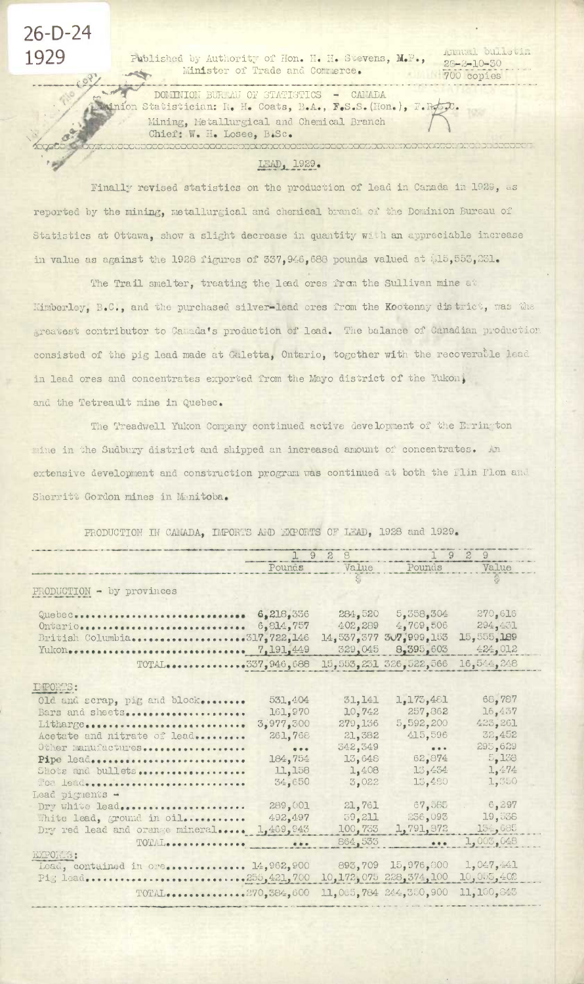26-D-24 1929

**STAR** 

Published by Authority of Hon. H. H. Stevens, M.P., Minister of Trade and Commerce. **STANDS** 

DOMINION BURGAU OF STATISTICS - CANADA minion Statistician: R. H. Coats, B.A., F.S.S. (Hon.), F.R.J.C. Mining, Metallurgical and Chemical Branch Chief: W. H. Losee, B.Sc. 

Ammal pullevin

 $25 - 2 - 10 - 50$ 

700 copies

## LEAD, 1929.

Finally revised statistics on the production of lead in Canada in 1929, as reported by the mining, metallurgical and chemical branch of the Dominion Bureau of Statistics at Ottawa, show a slight decrease in quantity with an appreciable increase in value as against the 1928 figures of 337, 946, 688 pounds valued at \$15, 553, 231.

The Trail smelter, treating the lead ores from the Sullivan mine at Kimberley, B.C., and the purchased silver-lead ores from the Kootenay district, was the greatest contributor to Camada's production of lead. The balance of Canadian production consisted of the pig lead made at Galetta, Ontario, together with the recoverable lead in lead ores and concentrates exported from the Mayo district of the Yukon, and the Tetreault mine in Quebec.

The Treadwell Yukon Company continued active development of the Errington mine in the Sudbury district and shipped an increased amount of concentrates. An extensive development and construction program was continued at both the Flin Flon and Sherritt Gordon mines in Manitoba.

|                                                                                                                                                                                                                                     | 1928                                                                                                                           |                                                                                        | 192<br>$\mathcal{Q}$                                                                             |                                                                                      |  |
|-------------------------------------------------------------------------------------------------------------------------------------------------------------------------------------------------------------------------------------|--------------------------------------------------------------------------------------------------------------------------------|----------------------------------------------------------------------------------------|--------------------------------------------------------------------------------------------------|--------------------------------------------------------------------------------------|--|
|                                                                                                                                                                                                                                     | Pounds                                                                                                                         | Value                                                                                  | Pounds                                                                                           | Value                                                                                |  |
|                                                                                                                                                                                                                                     |                                                                                                                                |                                                                                        |                                                                                                  |                                                                                      |  |
| PRODUCTION - by provinces                                                                                                                                                                                                           |                                                                                                                                |                                                                                        |                                                                                                  |                                                                                      |  |
| Quebec<br>Ontario<br>British Columbia317,722,146<br>Yukon<br>TOTAL337,946,688                                                                                                                                                       | 6,218,336<br>6,814,757<br>7,191,449                                                                                            | 284,520<br>402,289<br>14,537,377<br>329,045                                            | 5,358,304<br>4,769,506<br>$3\sqrt{7}$ , 999, 153<br>8,395,603<br>15,553,231 326,522,566          | 270,616<br>294,431<br>15,555,189<br>424,012<br>16,544,248                            |  |
| E PORTS:                                                                                                                                                                                                                            |                                                                                                                                |                                                                                        |                                                                                                  |                                                                                      |  |
| Old and scrap, pig and block<br>Bars and sheets<br>Litharge<br>Acetate and nitrate of lead<br>Other manufactures<br>Pipe lead<br>Slots and bullets<br>Mea lead<br>Lead pignents -<br><b>Part Links &amp; Land</b><br>Dry white lead | 531,404<br>161,970<br>3,977,500<br>261,768<br>$\begin{array}{c} \bullet \end{array}$<br>184,754<br>11,158<br>34,650<br>289,001 | 31,141<br>10,742<br>279,136<br>21,382<br>342,349<br>13,648<br>1,408<br>3,022<br>21,761 | 1,173,481<br>257,362<br>5,592,200<br>415,596<br>$\cdots$<br>62,874<br>13,454<br>15,480<br>67,585 | 68,787<br>16,437<br>425,261<br>32,452<br>295,629<br>5,138<br>1,474<br>1,350<br>6,297 |  |
| White lead, ground in oil                                                                                                                                                                                                           | 492,497                                                                                                                        | 39,211                                                                                 | 256,093                                                                                          | 19,536                                                                               |  |
| Dry red lead and orange mineral                                                                                                                                                                                                     | 1,469,943                                                                                                                      | 100,753                                                                                | 1,791,872                                                                                        | 154,685                                                                              |  |
| TOTAL                                                                                                                                                                                                                               | $-$                                                                                                                            | 864,533                                                                                | $\cdots$                                                                                         | 1,003.048                                                                            |  |
| EXPORTS:<br>Lead, contained in ore 14,962,900<br>Pig lead255,421,700                                                                                                                                                                |                                                                                                                                |                                                                                        | 893,709 15,976,800<br>10, 172, 075 228, 374, 100                                                 | 1,047,441<br>10,055,402                                                              |  |
| TOTAL270,384,600                                                                                                                                                                                                                    |                                                                                                                                |                                                                                        | 11,065,784 244,350,900                                                                           | 11,100,843                                                                           |  |

PRODUCTION IN CAMADA, IMPORTS AND EXPORTS OF LEAD, 1928 and 1929.